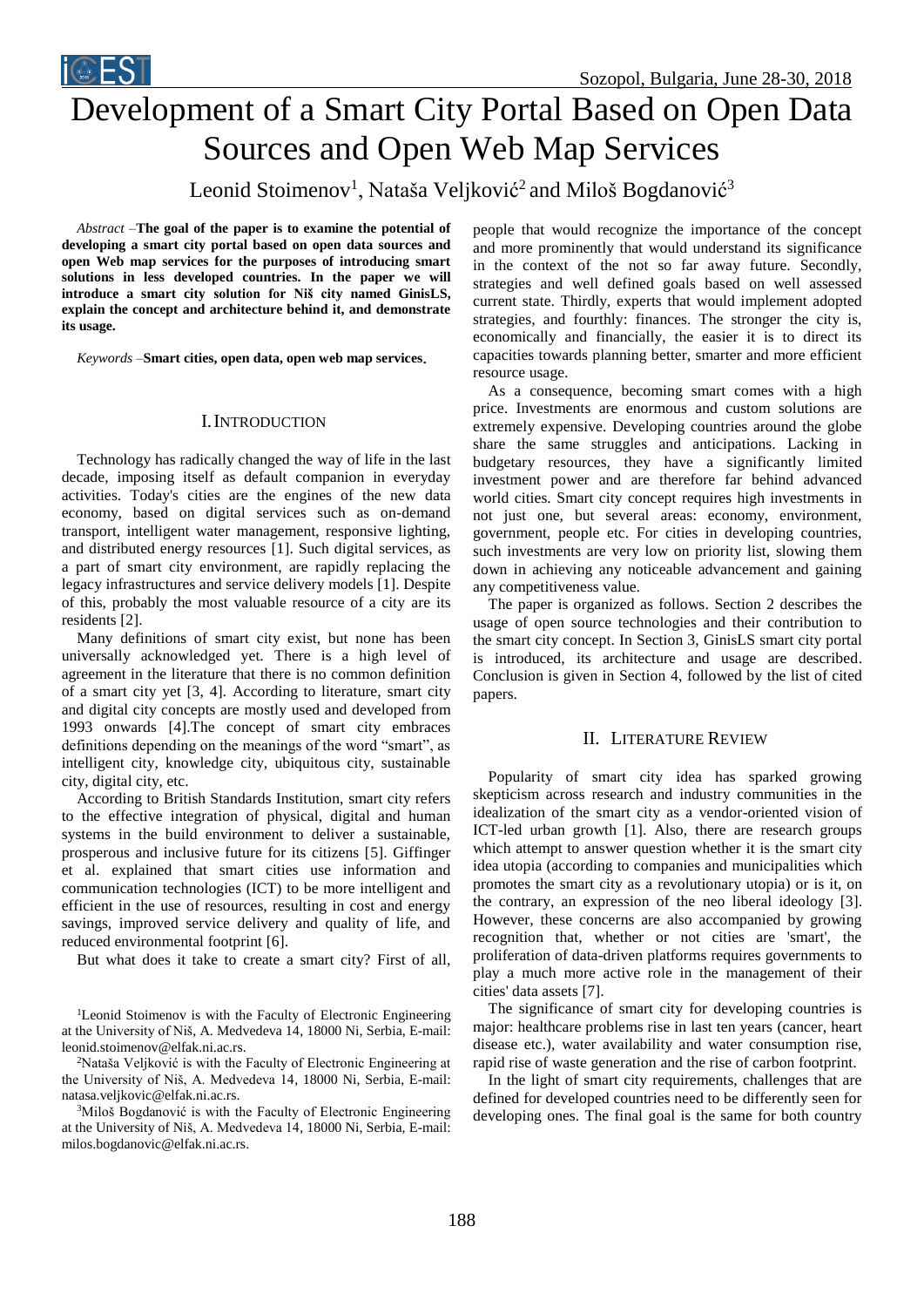

# Development of a Smart City Portal Based on Open Data Sources and Open Web Map Services

Leonid Stoimenov<sup>1</sup>, Nataša Veljković<sup>2</sup> and Miloš Bogdanović<sup>3</sup>

*Abstract –***The goal of the paper is to examine the potential of developing a smart city portal based on open data sources and open Web map services for the purposes of introducing smart solutions in less developed countries. In the paper we will introduce a smart city solution for Niš city named GinisLS, explain the concept and architecture behind it, and demonstrate its usage.**

*Keywords –***Smart cities, open data, open web map services**.

### I.INTRODUCTION

Technology has radically changed the way of life in the last decade, imposing itself as default companion in everyday activities. Today's cities are the engines of the new data economy, based on digital services such as on-demand transport, intelligent water management, responsive lighting, and distributed energy resources [1]. Such digital services, as a part of smart city environment, are rapidly replacing the legacy infrastructures and service delivery models [1]. Despite of this, probably the most valuable resource of a city are its residents [2].

Many definitions of smart city exist, but none has been universally acknowledged yet. There is a high level of agreement in the literature that there is no common definition of a smart city yet [3, 4]. According to literature, smart city and digital city concepts are mostly used and developed from 1993 onwards [4].The concept of smart city embraces definitions depending on the meanings of the word "smart", as intelligent city, knowledge city, ubiquitous city, sustainable city, digital city, etc.

According to British Standards Institution, smart city refers to the effective integration of physical, digital and human systems in the build environment to deliver a sustainable, prosperous and inclusive future for its citizens [5]. Giffinger et al. explained that smart cities use information and communication technologies (ICT) to be more intelligent and efficient in the use of resources, resulting in cost and energy savings, improved service delivery and quality of life, and reduced environmental footprint [6].

But what does it take to create a smart city? First of all,

<sup>2</sup>Nataša Veljković is with the Faculty of Electronic Engineering at the University of Niš, A. Medvedeva 14, 18000 Ni, Serbia, E-mail: natasa.veljkovic@elfak.ni.ac.rs.

<sup>3</sup>Miloš Bogdanović is with the Faculty of Electronic Engineering at the University of Niš, A. Medvedeva 14, 18000 Ni, Serbia, E-mail: milos.bogdanovic@elfak.ni.ac.rs.

people that would recognize the importance of the concept and more prominently that would understand its significance in the context of the not so far away future. Secondly, strategies and well defined goals based on well assessed current state. Thirdly, experts that would implement adopted strategies, and fourthly: finances. The stronger the city is, economically and financially, the easier it is to direct its capacities towards planning better, smarter and more efficient resource usage.

As a consequence, becoming smart comes with a high price. Investments are enormous and custom solutions are extremely expensive. Developing countries around the globe share the same struggles and anticipations. Lacking in budgetary resources, they have a significantly limited investment power and are therefore far behind advanced world cities. Smart city concept requires high investments in not just one, but several areas: economy, environment, government, people etc. For cities in developing countries, such investments are very low on priority list, slowing them down in achieving any noticeable advancement and gaining any competitiveness value.

The paper is organized as follows. Section 2 describes the usage of open source technologies and their contribution to the smart city concept. In Section 3, GinisLS smart city portal is introduced, its architecture and usage are described. Conclusion is given in Section 4, followed by the list of cited papers.

## II. LITERATURE REVIEW

Popularity of smart city idea has sparked growing skepticism across research and industry communities in the idealization of the smart city as a vendor-oriented vision of ICT-led urban growth [1]. Also, there are research groups which attempt to answer question whether it is the smart city idea utopia (according to companies and municipalities which promotes the smart city as a revolutionary utopia) or is it, on the contrary, an expression of the neo liberal ideology [3]. However, these concerns are also accompanied by growing recognition that, whether or not cities are 'smart', the proliferation of data-driven platforms requires governments to play a much more active role in the management of their cities' data assets [7].

The significance of smart city for developing countries is major: healthcare problems rise in last ten years (cancer, heart disease etc.), water availability and water consumption rise, rapid rise of waste generation and the rise of carbon footprint.

In the light of smart city requirements, challenges that are defined for developed countries need to be differently seen for developing ones. The final goal is the same for both country

<sup>&</sup>lt;sup>1</sup>Leonid Stoimenov is with the Faculty of Electronic Engineering at the University of Niš, A. Medvedeva 14, 18000 Ni, Serbia, E-mail: leonid.stoimenov@elfak.ni.ac.rs.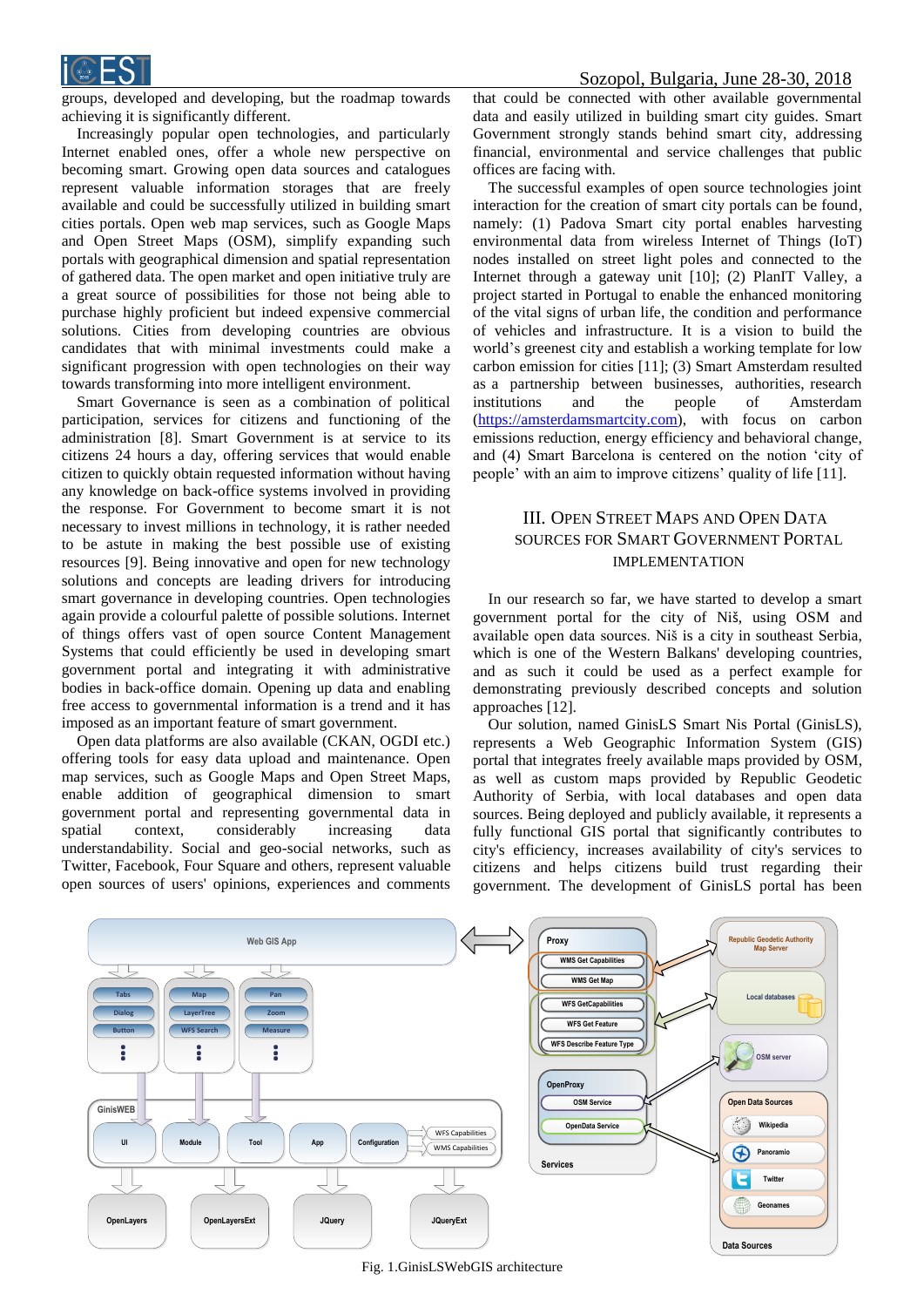

groups, developed and developing, but the roadmap towards achieving it is significantly different.

Increasingly popular open technologies, and particularly Internet enabled ones, offer a whole new perspective on becoming smart. Growing open data sources and catalogues represent valuable information storages that are freely available and could be successfully utilized in building smart cities portals. Open web map services, such as Google Maps and Open Street Maps (OSM), simplify expanding such portals with geographical dimension and spatial representation of gathered data. The open market and open initiative truly are a great source of possibilities for those not being able to purchase highly proficient but indeed expensive commercial solutions. Cities from developing countries are obvious candidates that with minimal investments could make a significant progression with open technologies on their way towards transforming into more intelligent environment.

Smart Governance is seen as a combination of political participation, services for citizens and functioning of the administration [8]. Smart Government is at service to its citizens 24 hours a day, offering services that would enable citizen to quickly obtain requested information without having any knowledge on back-office systems involved in providing the response. For Government to become smart it is not necessary to invest millions in technology, it is rather needed to be astute in making the best possible use of existing resources [9]. Being innovative and open for new technology solutions and concepts are leading drivers for introducing smart governance in developing countries. Open technologies again provide a colourful palette of possible solutions. Internet of things offers vast of open source Content Management Systems that could efficiently be used in developing smart government portal and integrating it with administrative bodies in back-office domain. Opening up data and enabling free access to governmental information is a trend and it has imposed as an important feature of smart government.

Open data platforms are also available (CKAN, OGDI etc.) offering tools for easy data upload and maintenance. Open map services, such as Google Maps and Open Street Maps, enable addition of geographical dimension to smart government portal and representing governmental data in spatial context, considerably increasing data understandability. Social and geo-social networks, such as Twitter, Facebook, Four Square and others, represent valuable open sources of users' opinions, experiences and comments

that could be connected with other available governmental data and easily utilized in building smart city guides. Smart Government strongly stands behind smart city, addressing financial, environmental and service challenges that public offices are facing with.

The successful examples of open source technologies joint interaction for the creation of smart city portals can be found, namely: (1) Padova Smart city portal enables harvesting environmental data from wireless Internet of Things (IoT) nodes installed on street light poles and connected to the Internet through a gateway unit [10]; (2) PlanIT Valley, a project started in Portugal to enable the enhanced monitoring of the vital signs of urban life, the condition and performance of vehicles and infrastructure. It is a vision to build the world's greenest city and establish a working template for low carbon emission for cities [11]; (3) Smart Amsterdam resulted as a partnership between businesses, authorities, research institutions and the people of Amsterdam [\(https://amsterdamsmartcity.com\)](https://amsterdamsmartcity.com/), with focus on carbon emissions reduction, energy efficiency and behavioral change, and (4) Smart Barcelona is centered on the notion 'city of people' with an aim to improve citizens' quality of life [11].

## III. OPEN STREET MAPS AND OPEN DATA SOURCES FOR SMART GOVERNMENT PORTAL IMPLEMENTATION

In our research so far, we have started to develop a smart government portal for the city of Niš, using OSM and available open data sources. Niš is a city in southeast Serbia, which is one of the Western Balkans' developing countries, and as such it could be used as a perfect example for demonstrating previously described concepts and solution approaches [12].

Our solution, named GinisLS Smart Nis Portal (GinisLS), represents a Web Geographic Information System (GIS) portal that integrates freely available maps provided by OSM, as well as custom maps provided by Republic Geodetic Authority of Serbia, with local databases and open data sources. Being deployed and publicly available, it represents a fully functional GIS portal that significantly contributes to city's efficiency, increases availability of city's services to citizens and helps citizens build trust regarding their government. The development of GinisLS portal has been



Fig. 1.GinisLSWebGIS architecture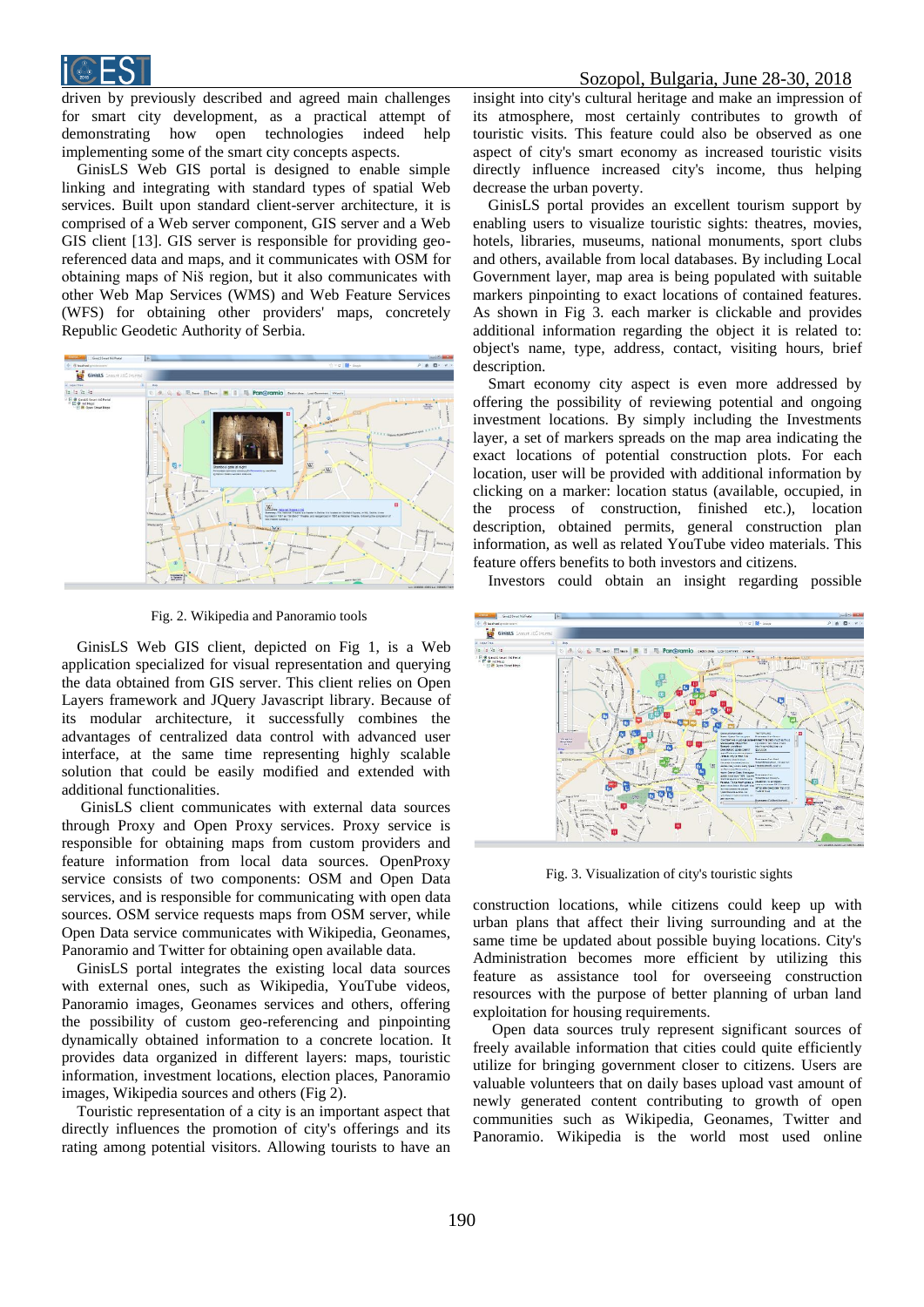

driven by previously described and agreed main challenges for smart city development, as a practical attempt of demonstrating how open technologies indeed help implementing some of the smart city concepts aspects.

GinisLS Web GIS portal is designed to enable simple linking and integrating with standard types of spatial Web services. Built upon standard client-server architecture, it is comprised of a Web server component, GIS server and a Web GIS client [13]. GIS server is responsible for providing georeferenced data and maps, and it communicates with OSM for obtaining maps of Niš region, but it also communicates with other Web Map Services (WMS) and Web Feature Services (WFS) for obtaining other providers' maps, concretely Republic Geodetic Authority of Serbia.



Fig. 2. Wikipedia and Panoramio tools

GinisLS Web GIS client, depicted on Fig 1, is a Web application specialized for visual representation and querying the data obtained from GIS server. This client relies on Open Layers framework and JQuery Javascript library. Because of its modular architecture, it successfully combines the advantages of centralized data control with advanced user interface, at the same time representing highly scalable solution that could be easily modified and extended with additional functionalities.

GinisLS client communicates with external data sources through Proxy and Open Proxy services. Proxy service is responsible for obtaining maps from custom providers and feature information from local data sources. OpenProxy service consists of two components: OSM and Open Data services, and is responsible for communicating with open data sources. OSM service requests maps from OSM server, while Open Data service communicates with Wikipedia, Geonames, Panoramio and Twitter for obtaining open available data.

GinisLS portal integrates the existing local data sources with external ones, such as Wikipedia, YouTube videos, Panoramio images, Geonames services and others, offering the possibility of custom geo-referencing and pinpointing dynamically obtained information to a concrete location. It provides data organized in different layers: maps, touristic information, investment locations, election places, Panoramio images, Wikipedia sources and others (Fig 2).

Touristic representation of a city is an important aspect that directly influences the promotion of city's offerings and its rating among potential visitors. Allowing tourists to have an

## Sozopol, Bulgaria, June 28-30, 2018

insight into city's cultural heritage and make an impression of its atmosphere, most certainly contributes to growth of touristic visits. This feature could also be observed as one aspect of city's smart economy as increased touristic visits directly influence increased city's income, thus helping decrease the urban poverty.

GinisLS portal provides an excellent tourism support by enabling users to visualize touristic sights: theatres, movies, hotels, libraries, museums, national monuments, sport clubs and others, available from local databases. By including Local Government layer, map area is being populated with suitable markers pinpointing to exact locations of contained features. As shown in Fig 3. each marker is clickable and provides additional information regarding the object it is related to: object's name, type, address, contact, visiting hours, brief description.

Smart economy city aspect is even more addressed by offering the possibility of reviewing potential and ongoing investment locations. By simply including the Investments layer, a set of markers spreads on the map area indicating the exact locations of potential construction plots. For each location, user will be provided with additional information by clicking on a marker: location status (available, occupied, in the process of construction, finished etc.), location description, obtained permits, general construction plan information, as well as related YouTube video materials. This feature offers benefits to both investors and citizens.

Investors could obtain an insight regarding possible



Fig. 3. Visualization of city's touristic sights

construction locations, while citizens could keep up with urban plans that affect their living surrounding and at the same time be updated about possible buying locations. City's Administration becomes more efficient by utilizing this feature as assistance tool for overseeing construction resources with the purpose of better planning of urban land exploitation for housing requirements.

Open data sources truly represent significant sources of freely available information that cities could quite efficiently utilize for bringing government closer to citizens. Users are valuable volunteers that on daily bases upload vast amount of newly generated content contributing to growth of open communities such as Wikipedia, Geonames, Twitter and Panoramio. Wikipedia is the world most used online